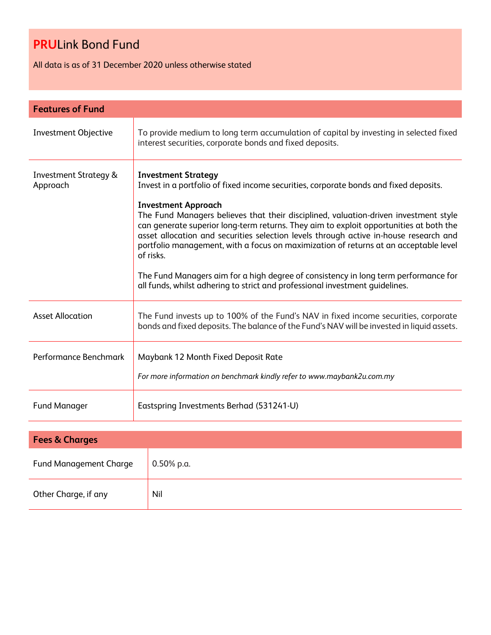All data is as of 31 December 2020 unless otherwise stated

| <b>Features of Fund</b>                      |                                                                                                                                                                                                                                                                                                                                                                                                                                                                                                                                                                                                                                                                                                          |  |
|----------------------------------------------|----------------------------------------------------------------------------------------------------------------------------------------------------------------------------------------------------------------------------------------------------------------------------------------------------------------------------------------------------------------------------------------------------------------------------------------------------------------------------------------------------------------------------------------------------------------------------------------------------------------------------------------------------------------------------------------------------------|--|
| <b>Investment Objective</b>                  | To provide medium to long term accumulation of capital by investing in selected fixed<br>interest securities, corporate bonds and fixed deposits.                                                                                                                                                                                                                                                                                                                                                                                                                                                                                                                                                        |  |
| <b>Investment Strategy &amp;</b><br>Approach | <b>Investment Strategy</b><br>Invest in a portfolio of fixed income securities, corporate bonds and fixed deposits.<br><b>Investment Approach</b><br>The Fund Managers believes that their disciplined, valuation-driven investment style<br>can generate superior long-term returns. They aim to exploit opportunities at both the<br>asset allocation and securities selection levels through active in-house research and<br>portfolio management, with a focus on maximization of returns at an acceptable level<br>of risks.<br>The Fund Managers aim for a high degree of consistency in long term performance for<br>all funds, whilst adhering to strict and professional investment quidelines. |  |
| <b>Asset Allocation</b>                      | The Fund invests up to 100% of the Fund's NAV in fixed income securities, corporate<br>bonds and fixed deposits. The balance of the Fund's NAV will be invested in liquid assets.                                                                                                                                                                                                                                                                                                                                                                                                                                                                                                                        |  |
| Performance Benchmark                        | Maybank 12 Month Fixed Deposit Rate<br>For more information on benchmark kindly refer to www.maybank2u.com.my                                                                                                                                                                                                                                                                                                                                                                                                                                                                                                                                                                                            |  |
| <b>Fund Manager</b>                          | Eastspring Investments Berhad (531241-U)                                                                                                                                                                                                                                                                                                                                                                                                                                                                                                                                                                                                                                                                 |  |

| <b>Fees &amp; Charges</b>     |               |  |
|-------------------------------|---------------|--|
| <b>Fund Management Charge</b> | $0.50\%$ p.a. |  |
| Other Charge, if any          | Nil           |  |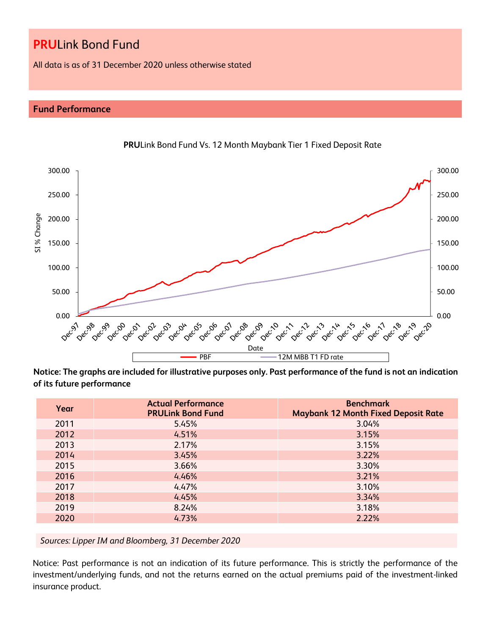All data is as of 31 December 2020 unless otherwise stated

### **Fund Performance**



**PRU**Link Bond Fund Vs. 12 Month Maybank Tier 1 Fixed Deposit Rate

**Notice: The graphs are included for illustrative purposes only. Past performance of the fund is not an indication of its future performance**

| Year | <b>Actual Performance</b><br><b>PRULink Bond Fund</b> | <b>Benchmark</b><br><b>Maybank 12 Month Fixed Deposit Rate</b> |
|------|-------------------------------------------------------|----------------------------------------------------------------|
| 2011 | 5.45%                                                 | 3.04%                                                          |
| 2012 | 4.51%                                                 | 3.15%                                                          |
| 2013 | 2.17%                                                 | 3.15%                                                          |
| 2014 | 3.45%                                                 | 3.22%                                                          |
| 2015 | 3.66%                                                 | 3.30%                                                          |
| 2016 | 4.46%                                                 | 3.21%                                                          |
| 2017 | 4.47%                                                 | 3.10%                                                          |
| 2018 | 4.45%                                                 | 3.34%                                                          |
| 2019 | 8.24%                                                 | 3.18%                                                          |
| 2020 | 4.73%                                                 | 2.22%                                                          |

*Sources: Lipper IM and Bloomberg, 31 December 2020*

Notice: Past performance is not an indication of its future performance. This is strictly the performance of the investment/underlying funds, and not the returns earned on the actual premiums paid of the investment-linked insurance product.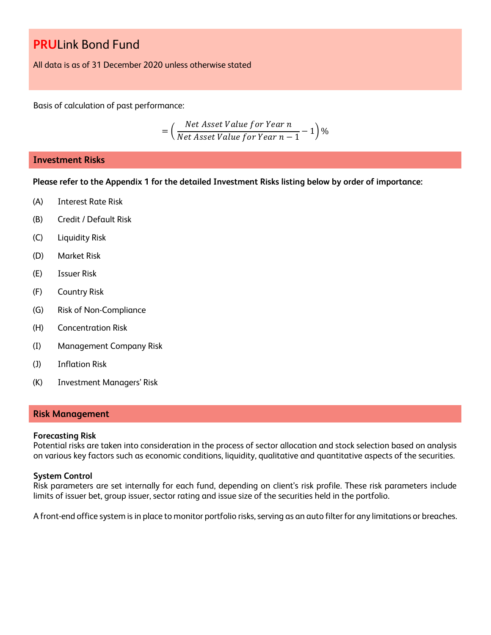All data is as of 31 December 2020 unless otherwise stated

Basis of calculation of past performance:

$$
= \left(\frac{Net\ Asset\ Value\ for\ Year\ n}{Net\ Asset\ Value\ for\ Year\ n-1} - 1\right)\%
$$

#### **Investment Risks**

**Please refer to the Appendix 1 for the detailed Investment Risks listing below by order of importance:**

- (A) Interest Rate Risk
- (B) Credit / Default Risk
- (C) Liquidity Risk
- (D) Market Risk
- (E) Issuer Risk
- (F) Country Risk
- (G) Risk of Non-Compliance
- (H) Concentration Risk
- (I) Management Company Risk
- (J) Inflation Risk
- (K) Investment Managers' Risk

#### **Risk Management**

#### **Forecasting Risk**

Potential risks are taken into consideration in the process of sector allocation and stock selection based on analysis on various key factors such as economic conditions, liquidity, qualitative and quantitative aspects of the securities.

#### **System Control**

Risk parameters are set internally for each fund, depending on client's risk profile. These risk parameters include limits of issuer bet, group issuer, sector rating and issue size of the securities held in the portfolio.

A front-end office system is in place to monitor portfolio risks, serving as an auto filter for any limitations or breaches.